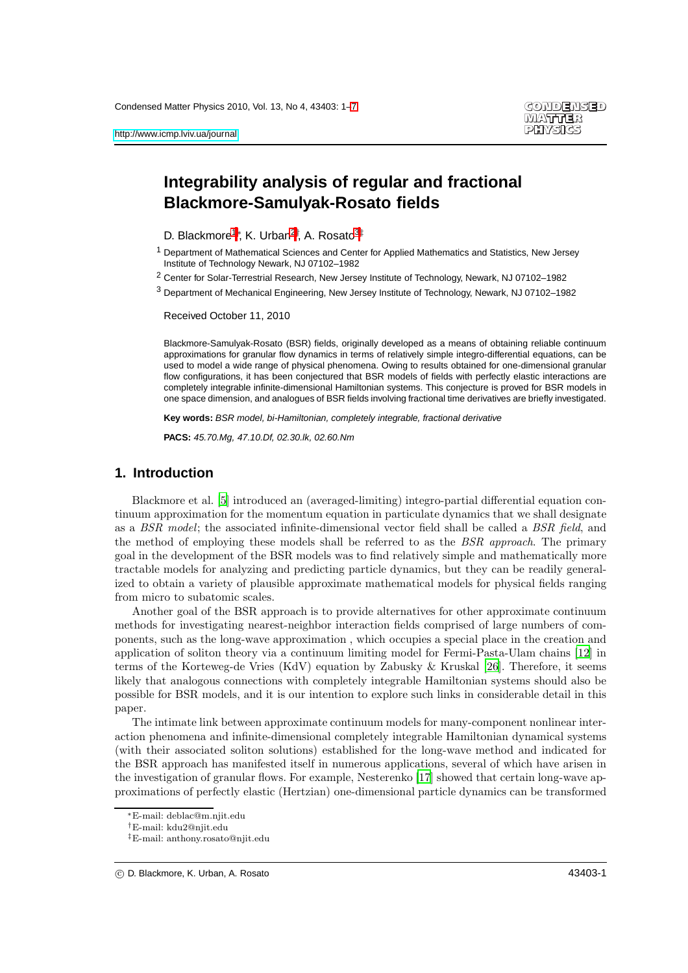# **Integrability analysis of regular and fractional Blackmore-Samulyak-Rosato fields**

- <span id="page-0-0"></span>D. Blackmore<sup>[1](#page-0-0)</sup><sup>\*</sup>, K. Urban<sup>[2](#page-0-1)†</sup>, A. Rosato<sup>[3](#page-0-2)‡</sup>
- <sup>1</sup> Department of Mathematical Sciences and Center for Applied Mathematics and Statistics, New Jersey Institute of Technology Newark, NJ 07102–1982
- <span id="page-0-2"></span><span id="page-0-1"></span><sup>2</sup> Center for Solar-Terrestrial Research, New Jersey Institute of Technology, Newark, NJ 07102–1982
- <sup>3</sup> Department of Mechanical Engineering, New Jersey Institute of Technology, Newark, NJ 07102–1982

Received October 11, 2010

Blackmore-Samulyak-Rosato (BSR) fields, originally developed as a means of obtaining reliable continuum approximations for granular flow dynamics in terms of relatively simple integro-differential equations, can be used to model a wide range of physical phenomena. Owing to results obtained for one-dimensional granular flow configurations, it has been conjectured that BSR models of fields with perfectly elastic interactions are completely integrable infinite-dimensional Hamiltonian systems. This conjecture is proved for BSR models in one space dimension, and analogues of BSR fields involving fractional time derivatives are briefly investigated.

**Key words:** BSR model, bi-Hamiltonian, completely integrable, fractional derivative

**PACS:** 45.70.Mg, 47.10.Df, 02.30.lk, 02.60.Nm

# **1. Introduction**

Blackmore et al. [\[5\]](#page-5-0) introduced an (averaged-limiting) integro-partial differential equation continuum approximation for the momentum equation in particulate dynamics that we shall designate as a BSR model; the associated infinite-dimensional vector field shall be called a BSR field, and the method of employing these models shall be referred to as the BSR approach. The primary goal in the development of the BSR models was to find relatively simple and mathematically more tractable models for analyzing and predicting particle dynamics, but they can be readily generalized to obtain a variety of plausible approximate mathematical models for physical fields ranging from micro to subatomic scales.

Another goal of the BSR approach is to provide alternatives for other approximate continuum methods for investigating nearest-neighbor interaction fields comprised of large numbers of components, such as the long-wave approximation , which occupies a special place in the creation and application of soliton theory via a continuum limiting model for Fermi-Pasta-Ulam chains [\[12\]](#page-5-1) in terms of the Korteweg-de Vries (KdV) equation by Zabusky & Kruskal [\[26](#page-6-1)]. Therefore, it seems likely that analogous connections with completely integrable Hamiltonian systems should also be possible for BSR models, and it is our intention to explore such links in considerable detail in this paper.

The intimate link between approximate continuum models for many-component nonlinear interaction phenomena and infinite-dimensional completely integrable Hamiltonian dynamical systems (with their associated soliton solutions) established for the long-wave method and indicated for the BSR approach has manifested itself in numerous applications, several of which have arisen in the investigation of granular flows. For example, Nesterenko [\[17](#page-6-2)] showed that certain long-wave approximations of perfectly elastic (Hertzian) one-dimensional particle dynamics can be transformed

<sup>∗</sup>E-mail: deblac@m.njit.edu

<sup>†</sup>E-mail: kdu2@njit.edu

<sup>‡</sup>E-mail: anthony.rosato@njit.edu

c D. Blackmore, K. Urban, A. Rosato 43403-1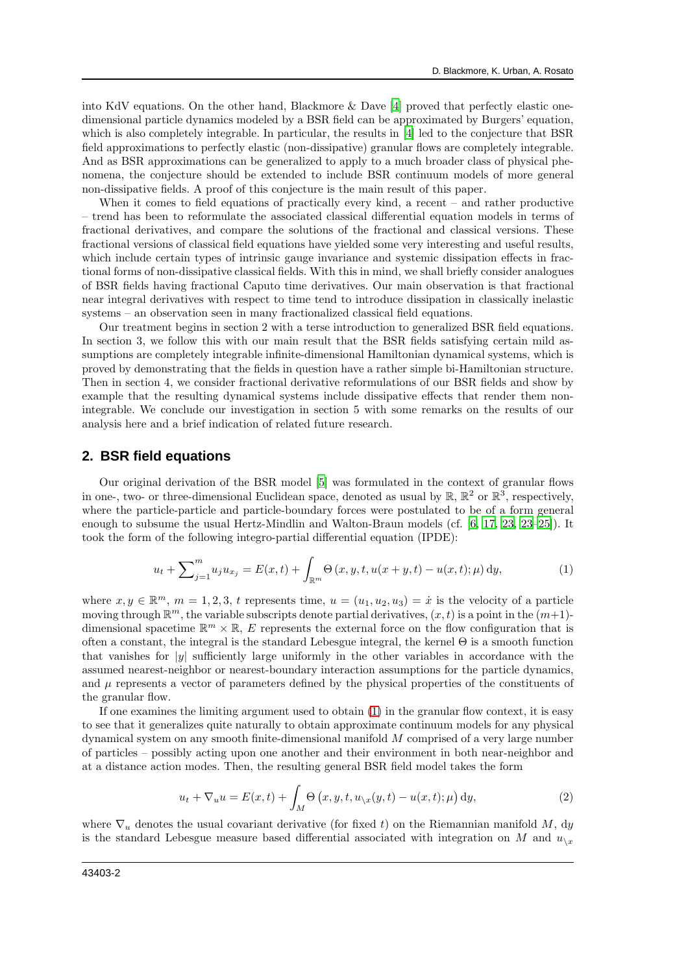into KdV equations. On the other hand, Blackmore  $\&$  Dave [\[4\]](#page-5-2) proved that perfectly elastic onedimensional particle dynamics modeled by a BSR field can be approximated by Burgers' equation, which is also completely integrable. In particular, the results in [\[4](#page-5-2)] led to the conjecture that BSR field approximations to perfectly elastic (non-dissipative) granular flows are completely integrable. And as BSR approximations can be generalized to apply to a much broader class of physical phenomena, the conjecture should be extended to include BSR continuum models of more general non-dissipative fields. A proof of this conjecture is the main result of this paper.

When it comes to field equations of practically every kind, a recent – and rather productive – trend has been to reformulate the associated classical differential equation models in terms of fractional derivatives, and compare the solutions of the fractional and classical versions. These fractional versions of classical field equations have yielded some very interesting and useful results, which include certain types of intrinsic gauge invariance and systemic dissipation effects in fractional forms of non-dissipative classical fields. With this in mind, we shall briefly consider analogues of BSR fields having fractional Caputo time derivatives. Our main observation is that fractional near integral derivatives with respect to time tend to introduce dissipation in classically inelastic systems – an observation seen in many fractionalized classical field equations.

Our treatment begins in section 2 with a terse introduction to generalized BSR field equations. In section 3, we follow this with our main result that the BSR fields satisfying certain mild assumptions are completely integrable infinite-dimensional Hamiltonian dynamical systems, which is proved by demonstrating that the fields in question have a rather simple bi-Hamiltonian structure. Then in section 4, we consider fractional derivative reformulations of our BSR fields and show by example that the resulting dynamical systems include dissipative effects that render them nonintegrable. We conclude our investigation in section 5 with some remarks on the results of our analysis here and a brief indication of related future research.

### **2. BSR field equations**

Our original derivation of the BSR model [\[5\]](#page-5-0) was formulated in the context of granular flows in one-, two- or three-dimensional Euclidean space, denoted as usual by  $\mathbb{R}$ ,  $\mathbb{R}^2$  or  $\mathbb{R}^3$ , respectively, where the particle-particle and particle-boundary forces were postulated to be of a form general enough to subsume the usual Hertz-Mindlin and Walton-Braun models (cf. [\[6,](#page-5-3) [17](#page-6-2), [23](#page-6-3), [23](#page-6-3)[–25\]](#page-6-4)). It took the form of the following integro-partial differential equation (IPDE):

<span id="page-1-0"></span>
$$
u_t + \sum_{j=1}^m u_j u_{x_j} = E(x, t) + \int_{\mathbb{R}^m} \Theta(x, y, t, u(x+y, t) - u(x, t); \mu) dy,
$$
\n(1)

where  $x, y \in \mathbb{R}^m$ ,  $m = 1, 2, 3, t$  represents time,  $u = (u_1, u_2, u_3) = \dot{x}$  is the velocity of a particle moving through  $\mathbb{R}^m$ , the variable subscripts denote partial derivatives,  $(x, t)$  is a point in the  $(m+1)$ dimensional spacetime  $\mathbb{R}^m \times \mathbb{R}$ , E represents the external force on the flow configuration that is often a constant, the integral is the standard Lebesgue integral, the kernel Θ is a smooth function that vanishes for  $|y|$  sufficiently large uniformly in the other variables in accordance with the assumed nearest-neighbor or nearest-boundary interaction assumptions for the particle dynamics, and  $\mu$  represents a vector of parameters defined by the physical properties of the constituents of the granular flow.

If one examines the limiting argument used to obtain [\(1\)](#page-1-0) in the granular flow context, it is easy to see that it generalizes quite naturally to obtain approximate continuum models for any physical dynamical system on any smooth finite-dimensional manifold M comprised of a very large number of particles – possibly acting upon one another and their environment in both near-neighbor and at a distance action modes. Then, the resulting general BSR field model takes the form

<span id="page-1-1"></span>
$$
u_t + \nabla_u u = E(x, t) + \int_M \Theta(x, y, t, u_{\backslash x}(y, t) - u(x, t); \mu) dy,
$$
\n(2)

where  $\nabla_u$  denotes the usual covariant derivative (for fixed t) on the Riemannian manifold M, dy is the standard Lebesgue measure based differential associated with integration on M and  $u_{\chi}$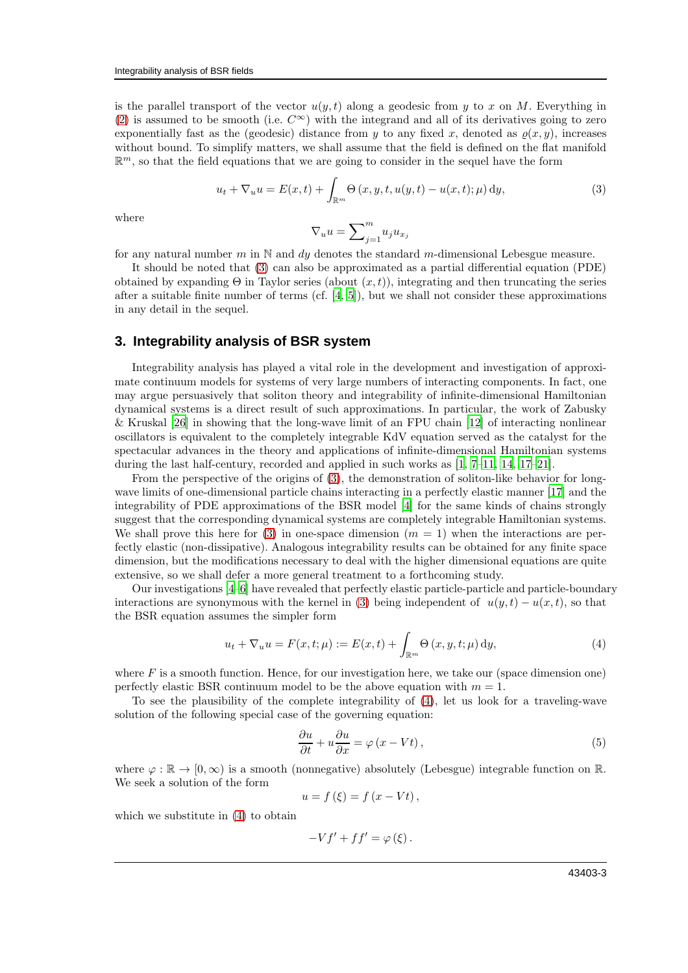is the parallel transport of the vector  $u(y, t)$  along a geodesic from y to x on M. Everything in [\(2\)](#page-1-1) is assumed to be smooth (i.e.  $C^{\infty}$ ) with the integrand and all of its derivatives going to zero exponentially fast as the (geodesic) distance from y to any fixed x, denoted as  $\rho(x, y)$ , increases without bound. To simplify matters, we shall assume that the field is defined on the flat manifold  $\mathbb{R}^m$ , so that the field equations that we are going to consider in the sequel have the form

<span id="page-2-0"></span>
$$
u_t + \nabla_u u = E(x, t) + \int_{\mathbb{R}^m} \Theta(x, y, t, u(y, t) - u(x, t); \mu) dy,
$$
\n(3)

where

$$
\nabla_u u = \sum\nolimits_{j=1}^m u_j u_{x_j}
$$

for any natural number m in  $\mathbb N$  and dy denotes the standard m-dimensional Lebesgue measure.

It should be noted that [\(3\)](#page-2-0) can also be approximated as a partial differential equation (PDE) obtained by expanding  $\Theta$  in Taylor series (about  $(x, t)$ ), integrating and then truncating the series after a suitable finite number of terms  $(cf. [4, 5])$  $(cf. [4, 5])$  $(cf. [4, 5])$  $(cf. [4, 5])$ , but we shall not consider these approximations in any detail in the sequel.

# **3. Integrability analysis of BSR system**

Integrability analysis has played a vital role in the development and investigation of approximate continuum models for systems of very large numbers of interacting components. In fact, one may argue persuasively that soliton theory and integrability of infinite-dimensional Hamiltonian dynamical systems is a direct result of such approximations. In particular, the work of Zabusky & Kruskal [\[26\]](#page-6-1) in showing that the long-wave limit of an FPU chain [\[12\]](#page-5-1) of interacting nonlinear oscillators is equivalent to the completely integrable KdV equation served as the catalyst for the spectacular advances in the theory and applications of infinite-dimensional Hamiltonian systems during the last half-century, recorded and applied in such works as [\[1,](#page-5-4) [7](#page-5-5)[–11,](#page-5-6) [14,](#page-5-7) [17](#page-6-2)[–21\]](#page-6-5).

From the perspective of the origins of [\(3\)](#page-2-0), the demonstration of soliton-like behavior for longwave limits of one-dimensional particle chains interacting in a perfectly elastic manner [\[17](#page-6-2)] and the integrability of PDE approximations of the BSR model [\[4\]](#page-5-2) for the same kinds of chains strongly suggest that the corresponding dynamical systems are completely integrable Hamiltonian systems. We shall prove this here for [\(3\)](#page-2-0) in one-space dimension  $(m = 1)$  when the interactions are perfectly elastic (non-dissipative). Analogous integrability results can be obtained for any finite space dimension, but the modifications necessary to deal with the higher dimensional equations are quite extensive, so we shall defer a more general treatment to a forthcoming study.

Our investigations [\[4](#page-5-2)[–6\]](#page-5-3) have revealed that perfectly elastic particle-particle and particle-boundary interactions are synonymous with the kernel in [\(3\)](#page-2-0) being independent of  $u(y, t) - u(x, t)$ , so that the BSR equation assumes the simpler form

<span id="page-2-1"></span>
$$
u_t + \nabla_u u = F(x, t; \mu) := E(x, t) + \int_{\mathbb{R}^m} \Theta(x, y, t; \mu) dy,
$$
\n(4)

where  $F$  is a smooth function. Hence, for our investigation here, we take our (space dimension one) perfectly elastic BSR continuum model to be the above equation with  $m = 1$ .

To see the plausibility of the complete integrability of [\(4\)](#page-2-1), let us look for a traveling-wave solution of the following special case of the governing equation:

$$
\frac{\partial u}{\partial t} + u \frac{\partial u}{\partial x} = \varphi (x - Vt), \qquad (5)
$$

where  $\varphi : \mathbb{R} \to [0, \infty)$  is a smooth (nonnegative) absolutely (Lebesgue) integrable function on R. We seek a solution of the form

$$
u = f\left(\xi\right) = f\left(x - Vt\right),\,
$$

which we substitute in  $(4)$  to obtain

$$
-Vf' + ff' = \varphi(\xi).
$$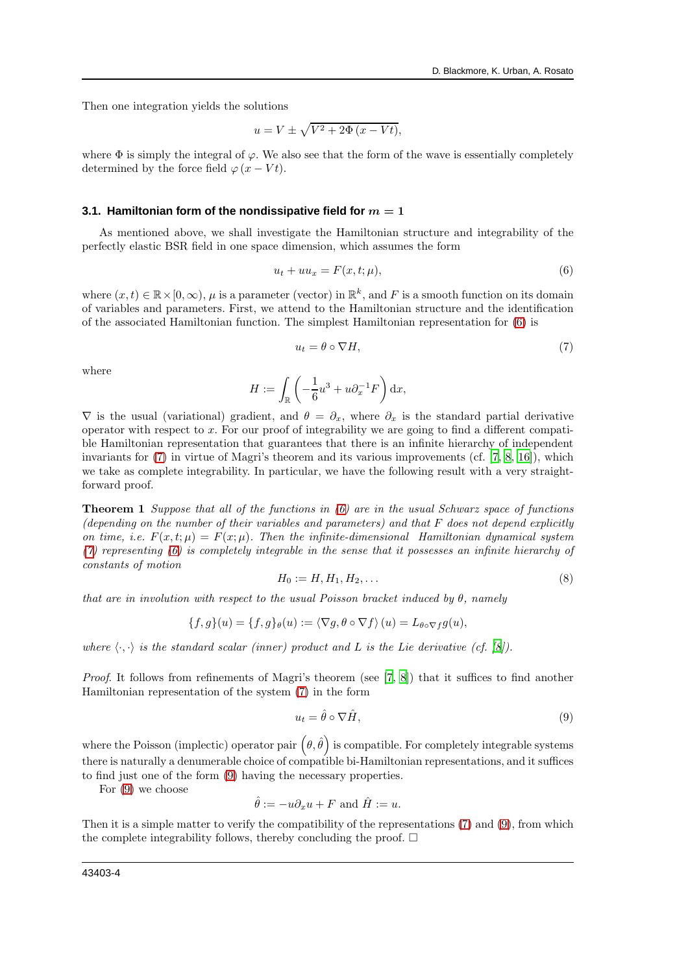Then one integration yields the solutions

$$
u = V \pm \sqrt{V^2 + 2\Phi(x - Vt)},
$$

where  $\Phi$  is simply the integral of  $\varphi$ . We also see that the form of the wave is essentially completely determined by the force field  $\varphi(x-Vt)$ .

#### **3.1. Hamiltonian form of the nondissipative field for**  $m = 1$

As mentioned above, we shall investigate the Hamiltonian structure and integrability of the perfectly elastic BSR field in one space dimension, which assumes the form

<span id="page-3-0"></span>
$$
u_t + uu_x = F(x, t; \mu),\tag{6}
$$

where  $(x, t) \in \mathbb{R} \times [0, \infty)$ ,  $\mu$  is a parameter (vector) in  $\mathbb{R}^k$ , and F is a smooth function on its domain of variables and parameters. First, we attend to the Hamiltonian structure and the identification of the associated Hamiltonian function. The simplest Hamiltonian representation for [\(6\)](#page-3-0) is

<span id="page-3-1"></span>
$$
u_t = \theta \circ \nabla H,\tag{7}
$$

where

$$
H := \int_{\mathbb{R}} \left( -\frac{1}{6}u^3 + u \partial_x^{-1} F \right) dx,
$$

 $\nabla$  is the usual (variational) gradient, and  $\theta = \partial_x$ , where  $\partial_x$  is the standard partial derivative operator with respect to x. For our proof of integrability we are going to find a different compatible Hamiltonian representation that guarantees that there is an infinite hierarchy of independent invariants for [\(7\)](#page-3-1) in virtue of Magri's theorem and its various improvements (cf. [\[7](#page-5-5), [8](#page-5-8), [16](#page-5-9)]), which we take as complete integrability. In particular, we have the following result with a very straightforward proof.

**Theorem 1** Suppose that all of the functions in  $(6)$  are in the usual Schwarz space of functions (depending on the number of their variables and parameters) and that F does not depend explicitly on time, i.e.  $F(x,t; \mu) = F(x; \mu)$ . Then the infinite-dimensional Hamiltonian dynamical system  $(7)$  representing  $(6)$  is completely integrable in the sense that it possesses an infinite hierarchy of constants of motion

$$
H_0 := H, H_1, H_2, \dots \tag{8}
$$

that are in involution with respect to the usual Poisson bracket induced by  $\theta$ , namely

$$
\{f,g\}(u) = \{f,g\}_{\theta}(u) := \langle \nabla g, \theta \circ \nabla f \rangle (u) = L_{\theta \circ \nabla f} g(u),
$$

where  $\langle \cdot, \cdot \rangle$  is the standard scalar (inner) product and L is the Lie derivative (cf. [\[8](#page-5-8)]).

Proof. It follows from refinements of Magri's theorem (see [\[7,](#page-5-5) [8](#page-5-8)]) that it suffices to find another Hamiltonian representation of the system [\(7\)](#page-3-1) in the form

<span id="page-3-2"></span>
$$
u_t = \hat{\theta} \circ \nabla \hat{H},\tag{9}
$$

where the Poisson (implectic) operator pair  $(\theta, \hat{\theta})$  is compatible. For completely integrable systems there is naturally a denumerable choice of compatible bi-Hamiltonian representations, and it suffices to find just one of the form [\(9\)](#page-3-2) having the necessary properties.

For [\(9\)](#page-3-2) we choose

$$
\hat{\theta} := -u \partial_x u + F \text{ and } \hat{H} := u.
$$

Then it is a simple matter to verify the compatibility of the representations [\(7\)](#page-3-1) and [\(9\)](#page-3-2), from which the complete integrability follows, thereby concluding the proof.  $\Box$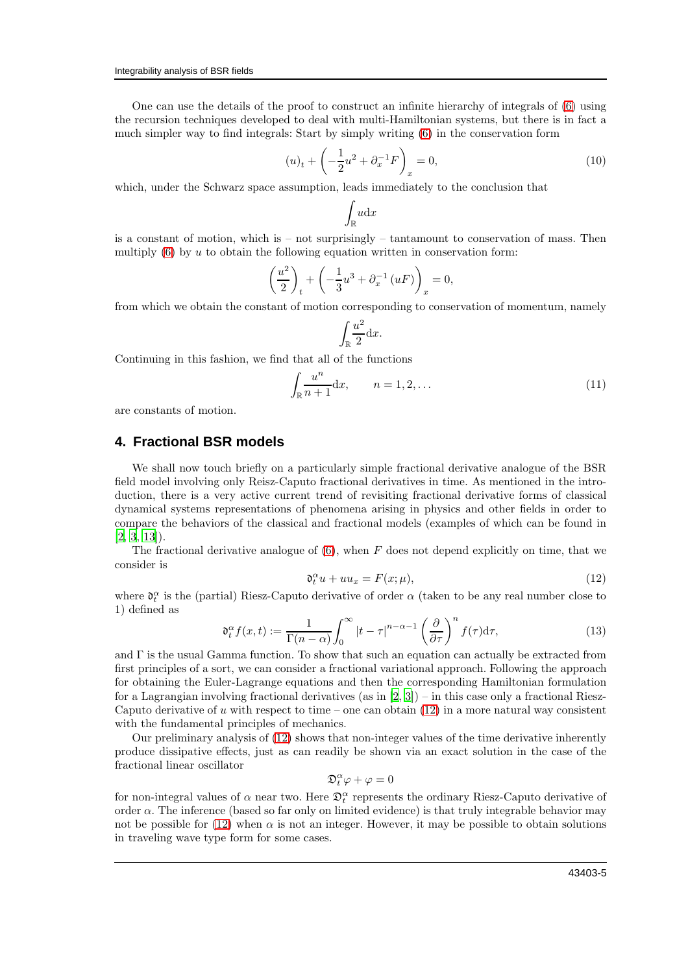One can use the details of the proof to construct an infinite hierarchy of integrals of [\(6\)](#page-3-0) using the recursion techniques developed to deal with multi-Hamiltonian systems, but there is in fact a much simpler way to find integrals: Start by simply writing [\(6\)](#page-3-0) in the conservation form

$$
(u)_t + \left(-\frac{1}{2}u^2 + \partial_x^{-1}F\right)_x = 0,
$$
\n(10)

which, under the Schwarz space assumption, leads immediately to the conclusion that

$$
\int_{\mathbb{R}} u \mathrm{d} x
$$

is a constant of motion, which is – not surprisingly – tantamount to conservation of mass. Then multiply  $(6)$  by u to obtain the following equation written in conservation form:

$$
\left(\frac{u^2}{2}\right)_t + \left(-\frac{1}{3}u^3 + \partial_x^{-1}(uF)\right)_x = 0,
$$

from which we obtain the constant of motion corresponding to conservation of momentum, namely

$$
\int_{\mathbb{R}} \frac{u^2}{2} \mathrm{d}x.
$$

Continuing in this fashion, we find that all of the functions

$$
\int_{\mathbb{R}} \frac{u^n}{n+1} \mathrm{d}x, \qquad n = 1, 2, \dots \tag{11}
$$

are constants of motion.

# **4. Fractional BSR models**

We shall now touch briefly on a particularly simple fractional derivative analogue of the BSR field model involving only Reisz-Caputo fractional derivatives in time. As mentioned in the introduction, there is a very active current trend of revisiting fractional derivative forms of classical dynamical systems representations of phenomena arising in physics and other fields in order to compare the behaviors of the classical and fractional models (examples of which can be found in  $[2, 3, 13]$  $[2, 3, 13]$  $[2, 3, 13]$  $[2, 3, 13]$  $[2, 3, 13]$ .

The fractional derivative analogue of  $(6)$ , when F does not depend explicitly on time, that we consider is

<span id="page-4-0"></span>
$$
\mathfrak{d}_t^{\alpha} u + u u_x = F(x; \mu), \tag{12}
$$

where  $\mathfrak{d}_t^{\alpha}$  is the (partial) Riesz-Caputo derivative of order  $\alpha$  (taken to be any real number close to 1) defined as

$$
\mathfrak{d}_t^{\alpha} f(x,t) := \frac{1}{\Gamma(n-\alpha)} \int_0^{\infty} |t-\tau|^{n-\alpha-1} \left(\frac{\partial}{\partial \tau}\right)^n f(\tau) d\tau, \tag{13}
$$

and  $\Gamma$  is the usual Gamma function. To show that such an equation can actually be extracted from first principles of a sort, we can consider a fractional variational approach. Following the approach for obtaining the Euler-Lagrange equations and then the corresponding Hamiltonian formulation for a Lagrangian involving fractional derivatives (as in  $[2, 3]$  $[2, 3]$ ) – in this case only a fractional Riesz-Caputo derivative of u with respect to time – one can obtain  $(12)$  in a more natural way consistent with the fundamental principles of mechanics.

Our preliminary analysis of [\(12\)](#page-4-0) shows that non-integer values of the time derivative inherently produce dissipative effects, just as can readily be shown via an exact solution in the case of the fractional linear oscillator

$$
\mathfrak{D}_t^{\alpha}\varphi+\varphi=0
$$

for non-integral values of  $\alpha$  near two. Here  $\mathfrak{D}_t^{\alpha}$  represents the ordinary Riesz-Caputo derivative of order α. The inference (based so far only on limited evidence) is that truly integrable behavior may not be possible for [\(12\)](#page-4-0) when  $\alpha$  is not an integer. However, it may be possible to obtain solutions in traveling wave type form for some cases.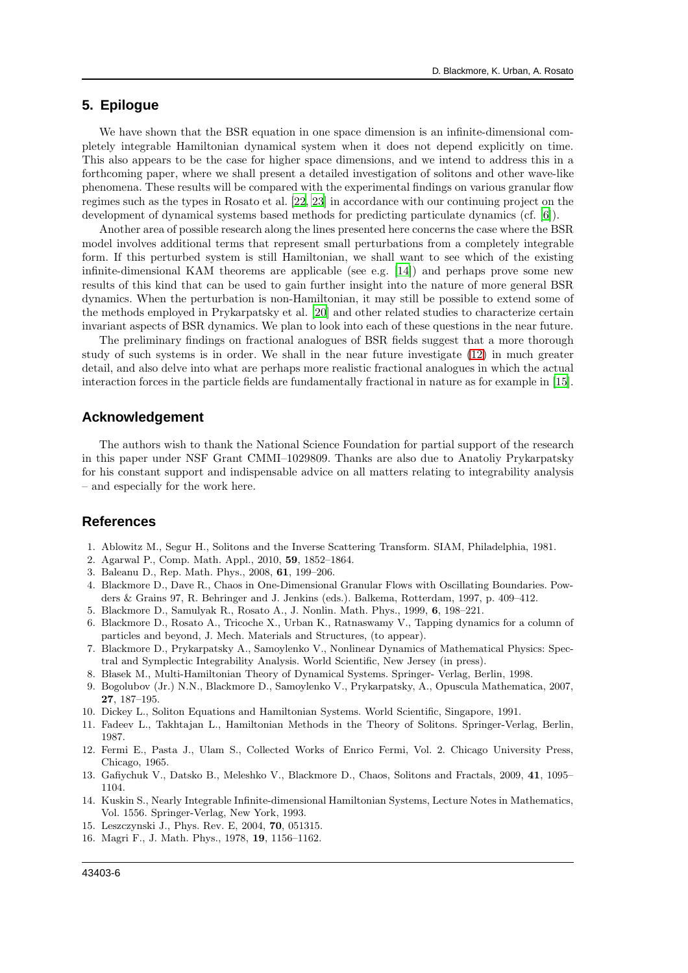### **5. Epilogue**

We have shown that the BSR equation in one space dimension is an infinite-dimensional completely integrable Hamiltonian dynamical system when it does not depend explicitly on time. This also appears to be the case for higher space dimensions, and we intend to address this in a forthcoming paper, where we shall present a detailed investigation of solitons and other wave-like phenomena. These results will be compared with the experimental findings on various granular flow regimes such as the types in Rosato et al. [\[22](#page-6-6), [23](#page-6-3)] in accordance with our continuing project on the development of dynamical systems based methods for predicting particulate dynamics (cf. [\[6\]](#page-5-3)).

Another area of possible research along the lines presented here concerns the case where the BSR model involves additional terms that represent small perturbations from a completely integrable form. If this perturbed system is still Hamiltonian, we shall want to see which of the existing infinite-dimensional KAM theorems are applicable (see e.g. [\[14\]](#page-5-7)) and perhaps prove some new results of this kind that can be used to gain further insight into the nature of more general BSR dynamics. When the perturbation is non-Hamiltonian, it may still be possible to extend some of the methods employed in Prykarpatsky et al. [\[20](#page-6-7)] and other related studies to characterize certain invariant aspects of BSR dynamics. We plan to look into each of these questions in the near future.

The preliminary findings on fractional analogues of BSR fields suggest that a more thorough study of such systems is in order. We shall in the near future investigate [\(12\)](#page-4-0) in much greater detail, and also delve into what are perhaps more realistic fractional analogues in which the actual interaction forces in the particle fields are fundamentally fractional in nature as for example in [\[15\]](#page-5-13).

#### **Acknowledgement**

The authors wish to thank the National Science Foundation for partial support of the research in this paper under NSF Grant CMMI–1029809. Thanks are also due to Anatoliy Prykarpatsky for his constant support and indispensable advice on all matters relating to integrability analysis – and especially for the work here.

### **References**

- <span id="page-5-4"></span>1. Ablowitz M., Segur H., Solitons and the Inverse Scattering Transform. SIAM, Philadelphia, 1981.
- <span id="page-5-10"></span>2. Agarwal P., Comp. Math. Appl., 2010, 59, 1852–1864.
- <span id="page-5-11"></span>3. Baleanu D., Rep. Math. Phys., 2008, 61, 199–206.
- <span id="page-5-2"></span>4. Blackmore D., Dave R., Chaos in One-Dimensional Granular Flows with Oscillating Boundaries. Powders & Grains 97, R. Behringer and J. Jenkins (eds.). Balkema, Rotterdam, 1997, p. 409–412.
- <span id="page-5-0"></span>5. Blackmore D., Samulyak R., Rosato A., J. Nonlin. Math. Phys., 1999, 6, 198–221.
- <span id="page-5-3"></span>6. Blackmore D., Rosato A., Tricoche X., Urban K., Ratnaswamy V., Tapping dynamics for a column of particles and beyond, J. Mech. Materials and Structures, (to appear).
- <span id="page-5-5"></span>7. Blackmore D., Prykarpatsky A., Samoylenko V., Nonlinear Dynamics of Mathematical Physics: Spectral and Symplectic Integrability Analysis. World Scientific, New Jersey (in press).
- <span id="page-5-8"></span>8. Blasek M., Multi-Hamiltonian Theory of Dynamical Systems. Springer- Verlag, Berlin, 1998.
- 9. Bogolubov (Jr.) N.N., Blackmore D., Samoylenko V., Prykarpatsky, A., Opuscula Mathematica, 2007, 27, 187–195.
- 10. Dickey L., Soliton Equations and Hamiltonian Systems. World Scientific, Singapore, 1991.
- <span id="page-5-6"></span>11. Fadeev L., Takhtajan L., Hamiltonian Methods in the Theory of Solitons. Springer-Verlag, Berlin, 1987.
- <span id="page-5-1"></span>12. Fermi E., Pasta J., Ulam S., Collected Works of Enrico Fermi, Vol. 2. Chicago University Press, Chicago, 1965.
- <span id="page-5-12"></span>13. Gafiychuk V., Datsko B., Meleshko V., Blackmore D., Chaos, Solitons and Fractals, 2009, 41, 1095– 1104.
- <span id="page-5-7"></span>14. Kuskin S., Nearly Integrable Infinite-dimensional Hamiltonian Systems, Lecture Notes in Mathematics, Vol. 1556. Springer-Verlag, New York, 1993.
- <span id="page-5-13"></span>15. Leszczynski J., Phys. Rev. E, 2004, 70, 051315.
- <span id="page-5-9"></span>16. Magri F., J. Math. Phys., 1978, 19, 1156–1162.